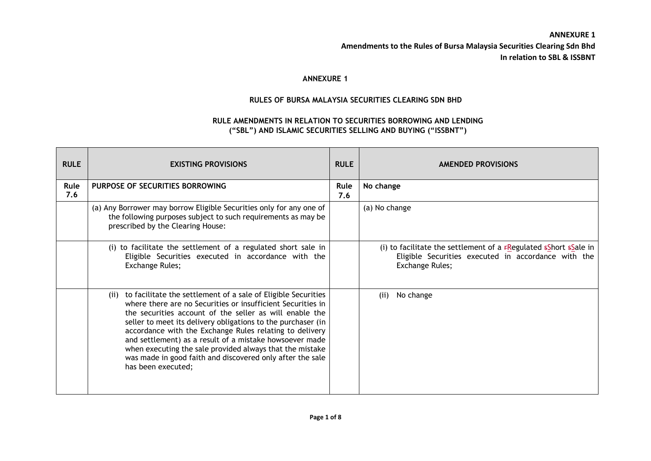## **ANNEXURE 1**

## **RULES OF BURSA MALAYSIA SECURITIES CLEARING SDN BHD**

### **RULE AMENDMENTS IN RELATION TO SECURITIES BORROWING AND LENDING ("SBL") AND ISLAMIC SECURITIES SELLING AND BUYING ("ISSBNT")**

| <b>RULE</b> | <b>EXISTING PROVISIONS</b>                                                                                                                                                                                                                                                                                                                                                                                                                                                                                                        | <b>RULE</b> | <b>AMENDED PROVISIONS</b>                                                                                                                            |
|-------------|-----------------------------------------------------------------------------------------------------------------------------------------------------------------------------------------------------------------------------------------------------------------------------------------------------------------------------------------------------------------------------------------------------------------------------------------------------------------------------------------------------------------------------------|-------------|------------------------------------------------------------------------------------------------------------------------------------------------------|
| Rule<br>7.6 | PURPOSE OF SECURITIES BORROWING                                                                                                                                                                                                                                                                                                                                                                                                                                                                                                   | Rule<br>7.6 | No change                                                                                                                                            |
|             | (a) Any Borrower may borrow Eligible Securities only for any one of<br>the following purposes subject to such requirements as may be<br>prescribed by the Clearing House:                                                                                                                                                                                                                                                                                                                                                         |             | (a) No change                                                                                                                                        |
|             | (i) to facilitate the settlement of a regulated short sale in<br>Eligible Securities executed in accordance with the<br>Exchange Rules;                                                                                                                                                                                                                                                                                                                                                                                           |             | (i) to facilitate the settlement of a $f$ Regulated $f$ short $f$ s ale in<br>Eligible Securities executed in accordance with the<br>Exchange Rules; |
|             | (ii) to facilitate the settlement of a sale of Eligible Securities<br>where there are no Securities or insufficient Securities in<br>the securities account of the seller as will enable the<br>seller to meet its delivery obligations to the purchaser (in<br>accordance with the Exchange Rules relating to delivery<br>and settlement) as a result of a mistake howsoever made<br>when executing the sale provided always that the mistake<br>was made in good faith and discovered only after the sale<br>has been executed; |             | No change<br>(ii)                                                                                                                                    |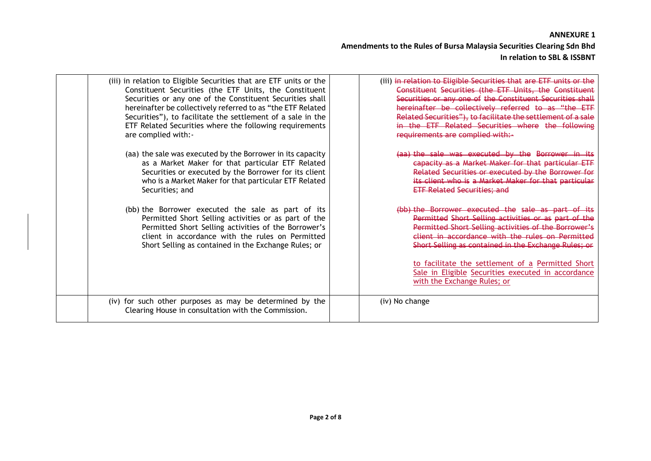| (iii) in relation to Eligible Securities that are ETF units or the<br>Constituent Securities (the ETF Units, the Constituent<br>Securities or any one of the Constituent Securities shall<br>hereinafter be collectively referred to as "the ETF Related<br>Securities"), to facilitate the settlement of a sale in the<br>ETF Related Securities where the following requirements<br>are complied with:- | (iii) in relation to Eligible Securities that are ETF units or the<br>Constituent Securities (the ETF Units, the Constituent<br>Securities or any one of the Constituent Securities shall<br>hereinafter be collectively referred to as "the ETF<br>Related Securities"), to facilitate the settlement of a sale<br>in the ETF Related Securities where the following<br>requirements are complied with:- |
|-----------------------------------------------------------------------------------------------------------------------------------------------------------------------------------------------------------------------------------------------------------------------------------------------------------------------------------------------------------------------------------------------------------|-----------------------------------------------------------------------------------------------------------------------------------------------------------------------------------------------------------------------------------------------------------------------------------------------------------------------------------------------------------------------------------------------------------|
| (aa) the sale was executed by the Borrower in its capacity<br>as a Market Maker for that particular ETF Related<br>Securities or executed by the Borrower for its client<br>who is a Market Maker for that particular ETF Related<br>Securities; and                                                                                                                                                      | (aa) the sale was executed by the Borrower in its<br>capacity as a Market Maker for that particular ETF<br>Related Securities or executed by the Borrower for<br>its client who is a Market Maker for that particular<br><b>ETF Related Securities; and</b>                                                                                                                                               |
| (bb) the Borrower executed the sale as part of its<br>Permitted Short Selling activities or as part of the<br>Permitted Short Selling activities of the Borrower's<br>client in accordance with the rules on Permitted<br>Short Selling as contained in the Exchange Rules; or                                                                                                                            | (bb) the Borrower executed the sale as part of its<br>Permitted Short Selling activities or as part of the<br>Permitted Short Selling activities of the Borrower's<br>client in accordance with the rules on Permitted<br>Short Selling as contained in the Exchange Rules; or<br>to facilitate the settlement of a Permitted Short                                                                       |
|                                                                                                                                                                                                                                                                                                                                                                                                           | Sale in Eligible Securities executed in accordance<br>with the Exchange Rules; or                                                                                                                                                                                                                                                                                                                         |
| (iv) for such other purposes as may be determined by the<br>Clearing House in consultation with the Commission.                                                                                                                                                                                                                                                                                           | (iv) No change                                                                                                                                                                                                                                                                                                                                                                                            |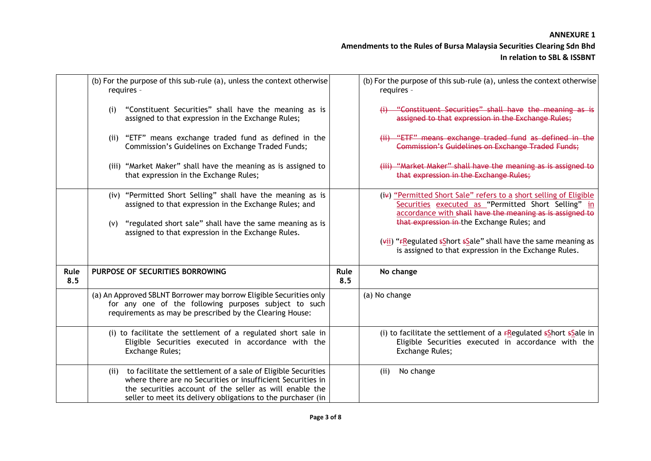#### **ANNEXURE 1**

|             | (b) For the purpose of this sub-rule (a), unless the context otherwise<br>requires -                                                                                                                                                                         |             | (b) For the purpose of this sub-rule (a), unless the context otherwise<br>requires -                                                                                                                                                                                                                                                                            |
|-------------|--------------------------------------------------------------------------------------------------------------------------------------------------------------------------------------------------------------------------------------------------------------|-------------|-----------------------------------------------------------------------------------------------------------------------------------------------------------------------------------------------------------------------------------------------------------------------------------------------------------------------------------------------------------------|
|             | "Constituent Securities" shall have the meaning as is<br>(i)<br>assigned to that expression in the Exchange Rules;                                                                                                                                           |             | (i) "Constituent Securities" shall have the meaning as is<br>assigned to that expression in the Exchange Rules;                                                                                                                                                                                                                                                 |
|             | (ii) "ETF" means exchange traded fund as defined in the<br>Commission's Guidelines on Exchange Traded Funds;                                                                                                                                                 |             | (ii) "ETF" means exchange traded fund as defined in the<br>Commission's Guidelines on Exchange Traded Funds;                                                                                                                                                                                                                                                    |
|             | (iii) "Market Maker" shall have the meaning as is assigned to<br>that expression in the Exchange Rules;                                                                                                                                                      |             | (iii) "Market Maker" shall have the meaning as is assigned to<br>that expression in the Exchange Rules;                                                                                                                                                                                                                                                         |
|             | (iv) "Permitted Short Selling" shall have the meaning as is<br>assigned to that expression in the Exchange Rules; and<br>"regulated short sale" shall have the same meaning as is<br>(V)<br>assigned to that expression in the Exchange Rules.               |             | (iv) "Permitted Short Sale" refers to a short selling of Eligible<br>Securities executed as "Permitted Short Selling" in<br>accordance with shall have the meaning as is assigned to<br>that expression in the Exchange Rules; and<br>$(vii)$ "FRegulated sShort sSale" shall have the same meaning as<br>is assigned to that expression in the Exchange Rules. |
| Rule<br>8.5 | PURPOSE OF SECURITIES BORROWING                                                                                                                                                                                                                              | Rule<br>8.5 | No change                                                                                                                                                                                                                                                                                                                                                       |
|             | (a) An Approved SBLNT Borrower may borrow Eligible Securities only<br>for any one of the following purposes subject to such<br>requirements as may be prescribed by the Clearing House:                                                                      |             | (a) No change                                                                                                                                                                                                                                                                                                                                                   |
|             | (i) to facilitate the settlement of a regulated short sale in<br>Eligible Securities executed in accordance with the<br>Exchange Rules;                                                                                                                      |             | (i) to facilitate the settlement of a $F$ Regulated $F$ Short $F$ Sale in<br>Eligible Securities executed in accordance with the<br>Exchange Rules;                                                                                                                                                                                                             |
|             | (ii) to facilitate the settlement of a sale of Eligible Securities<br>where there are no Securities or insufficient Securities in<br>the securities account of the seller as will enable the<br>seller to meet its delivery obligations to the purchaser (in |             | No change<br>(ii)                                                                                                                                                                                                                                                                                                                                               |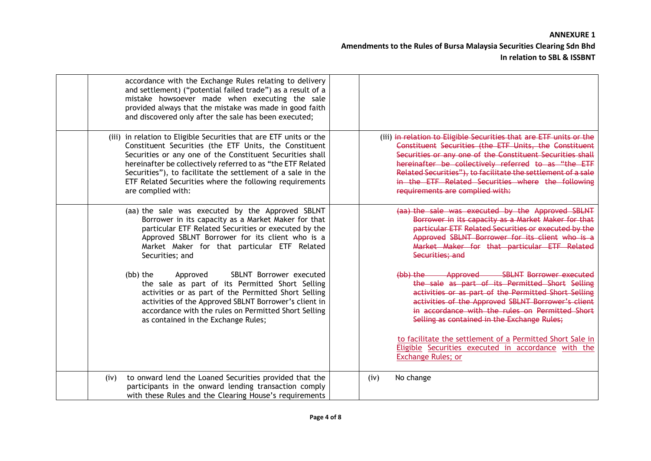| accordance with the Exchange Rules relating to delivery<br>and settlement) ("potential failed trade") as a result of a<br>mistake howsoever made when executing the sale<br>provided always that the mistake was made in good faith<br>and discovered only after the sale has been executed;                                                                                                             |                                                                                                                                                                                                                                                                                                                                                                                                          |
|----------------------------------------------------------------------------------------------------------------------------------------------------------------------------------------------------------------------------------------------------------------------------------------------------------------------------------------------------------------------------------------------------------|----------------------------------------------------------------------------------------------------------------------------------------------------------------------------------------------------------------------------------------------------------------------------------------------------------------------------------------------------------------------------------------------------------|
| (iii) in relation to Eligible Securities that are ETF units or the<br>Constituent Securities (the ETF Units, the Constituent<br>Securities or any one of the Constituent Securities shall<br>hereinafter be collectively referred to as "the ETF Related<br>Securities"), to facilitate the settlement of a sale in the<br>ETF Related Securities where the following requirements<br>are complied with: | (iii) in relation to Eligible Securities that are ETF units or the<br>Constituent Securities (the ETF Units, the Constituent<br>Securities or any one of the Constituent Securities shall<br>hereinafter be collectively referred to as "the ETF<br>Related Securities"), to facilitate the settlement of a sale<br>in the ETF Related Securities where the following<br>requirements are complied with: |
| (aa) the sale was executed by the Approved SBLNT<br>Borrower in its capacity as a Market Maker for that<br>particular ETF Related Securities or executed by the<br>Approved SBLNT Borrower for its client who is a<br>Market Maker for that particular ETF Related<br>Securities; and                                                                                                                    | (aa) the sale was executed by the Approved SBLNT<br>Borrower in its capacity as a Market Maker for that<br>particular ETF Related Securities or executed by the<br>Approved SBLNT Borrower for its client who is a<br>Market Maker for that particular ETF Related<br>Securities; and                                                                                                                    |
| SBLNT Borrower executed<br>Approved<br>(bb) the<br>the sale as part of its Permitted Short Selling<br>activities or as part of the Permitted Short Selling<br>activities of the Approved SBLNT Borrower's client in<br>accordance with the rules on Permitted Short Selling<br>as contained in the Exchange Rules;                                                                                       | Approved SBLNT Borrower executed<br>$(b\bar{b})$ the $-$<br>the sale as part of its Permitted Short Selling<br>activities or as part of the Permitted Short Selling<br>activities of the Approved SBLNT Borrower's client<br>in accordance with the rules on Permitted Short<br>Selling as contained in the Exchange Rules;                                                                              |
|                                                                                                                                                                                                                                                                                                                                                                                                          | to facilitate the settlement of a Permitted Short Sale in<br>Eligible Securities executed in accordance with the<br><b>Exchange Rules; or</b>                                                                                                                                                                                                                                                            |
| to onward lend the Loaned Securities provided that the<br>(iv)<br>participants in the onward lending transaction comply<br>with these Rules and the Clearing House's requirements                                                                                                                                                                                                                        | No change<br>(iv)                                                                                                                                                                                                                                                                                                                                                                                        |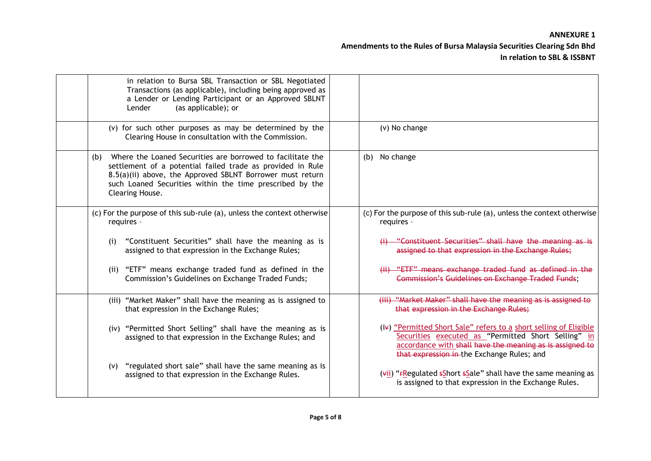| in relation to Bursa SBL Transaction or SBL Negotiated<br>Transactions (as applicable), including being approved as<br>a Lender or Lending Participant or an Approved SBLNT<br>Lender<br>(as applicable); or                                                                |                                                                                                                                                                                                                                    |
|-----------------------------------------------------------------------------------------------------------------------------------------------------------------------------------------------------------------------------------------------------------------------------|------------------------------------------------------------------------------------------------------------------------------------------------------------------------------------------------------------------------------------|
| (v) for such other purposes as may be determined by the<br>Clearing House in consultation with the Commission.                                                                                                                                                              | (v) No change                                                                                                                                                                                                                      |
| Where the Loaned Securities are borrowed to facilitate the<br>(b)<br>settlement of a potential failed trade as provided in Rule<br>8.5(a)(ii) above, the Approved SBLNT Borrower must return<br>such Loaned Securities within the time prescribed by the<br>Clearing House. | (b) No change                                                                                                                                                                                                                      |
| (c) For the purpose of this sub-rule (a), unless the context otherwise<br>requires -                                                                                                                                                                                        | (c) For the purpose of this sub-rule (a), unless the context otherwise<br>requires -                                                                                                                                               |
| "Constituent Securities" shall have the meaning as is<br>(i)<br>assigned to that expression in the Exchange Rules;                                                                                                                                                          | (i) "Constituent Securities" shall have the meaning as is<br>assigned to that expression in the Exchange Rules;                                                                                                                    |
| (ii) "ETF" means exchange traded fund as defined in the<br>Commission's Guidelines on Exchange Traded Funds;                                                                                                                                                                | (ii) "ETF" means exchange traded fund as defined in the<br><b>Commission's Guidelines on Exchange Traded Funds:</b>                                                                                                                |
| (iii) "Market Maker" shall have the meaning as is assigned to<br>that expression in the Exchange Rules;                                                                                                                                                                     | (iii) "Market Maker" shall have the meaning as is assigned to<br>that expression in the Exchange Rules;                                                                                                                            |
| (iv) "Permitted Short Selling" shall have the meaning as is<br>assigned to that expression in the Exchange Rules; and                                                                                                                                                       | (ix) "Permitted Short Sale" refers to a short selling of Eligible<br>Securities executed as "Permitted Short Selling" in<br>accordance with shall have the meaning as is assigned to<br>that expression in the Exchange Rules; and |
| "regulated short sale" shall have the same meaning as is<br>(v)<br>assigned to that expression in the Exchange Rules.                                                                                                                                                       | $(vii)$ "FRegulated sShort sSale" shall have the same meaning as<br>is assigned to that expression in the Exchange Rules.                                                                                                          |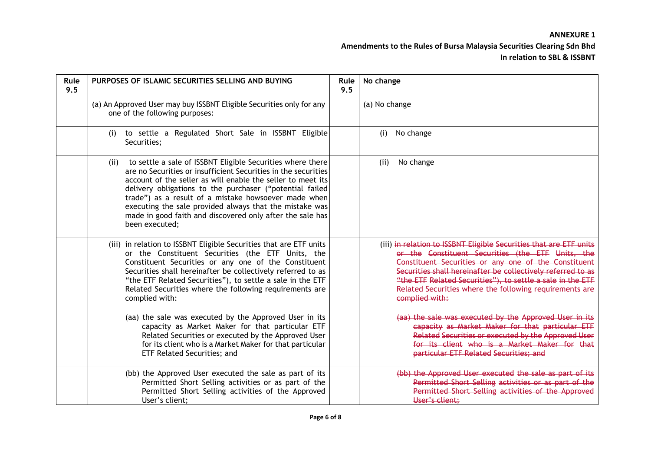| Rule<br>9.5 | PURPOSES OF ISLAMIC SECURITIES SELLING AND BUYING                                                                                                                                                                                                                                                                                                                                                                                                                                                                                                                                                                          | Rule<br>9.5 | No change                                                                                                                                                                                                                                                                                                                                                                                                                                                                                                                                                                                                       |
|-------------|----------------------------------------------------------------------------------------------------------------------------------------------------------------------------------------------------------------------------------------------------------------------------------------------------------------------------------------------------------------------------------------------------------------------------------------------------------------------------------------------------------------------------------------------------------------------------------------------------------------------------|-------------|-----------------------------------------------------------------------------------------------------------------------------------------------------------------------------------------------------------------------------------------------------------------------------------------------------------------------------------------------------------------------------------------------------------------------------------------------------------------------------------------------------------------------------------------------------------------------------------------------------------------|
|             | (a) An Approved User may buy ISSBNT Eligible Securities only for any<br>one of the following purposes:                                                                                                                                                                                                                                                                                                                                                                                                                                                                                                                     |             | (a) No change                                                                                                                                                                                                                                                                                                                                                                                                                                                                                                                                                                                                   |
|             | to settle a Regulated Short Sale in ISSBNT Eligible<br>(i)<br>Securities;                                                                                                                                                                                                                                                                                                                                                                                                                                                                                                                                                  |             | No change<br>(i)                                                                                                                                                                                                                                                                                                                                                                                                                                                                                                                                                                                                |
|             | to settle a sale of ISSBNT Eligible Securities where there<br>(ii)<br>are no Securities or insufficient Securities in the securities<br>account of the seller as will enable the seller to meet its<br>delivery obligations to the purchaser ("potential failed<br>trade") as a result of a mistake howsoever made when<br>executing the sale provided always that the mistake was<br>made in good faith and discovered only after the sale has<br>been executed;                                                                                                                                                          |             | No change<br>(ii)                                                                                                                                                                                                                                                                                                                                                                                                                                                                                                                                                                                               |
|             | (iii) in relation to ISSBNT Eligible Securities that are ETF units<br>or the Constituent Securities (the ETF Units, the<br>Constituent Securities or any one of the Constituent<br>Securities shall hereinafter be collectively referred to as<br>"the ETF Related Securities"), to settle a sale in the ETF<br>Related Securities where the following requirements are<br>complied with:<br>(aa) the sale was executed by the Approved User in its<br>capacity as Market Maker for that particular ETF<br>Related Securities or executed by the Approved User<br>for its client who is a Market Maker for that particular |             | (iii) in relation to ISSBNT Eligible Securities that are ETF units<br>or the Constituent Securities (the ETF Units, the<br>Constituent Securities or any one of the Constituent<br>Securities shall hereinafter be collectively referred to as<br>"the ETF Related Securities"), to settle a sale in the ETF<br>Related Securities where the following requirements are<br>complied with:<br>(aa) the sale was executed by the Approved User in its<br>capacity as Market Maker for that particular ETF<br>Related Securities or executed by the Approved User<br>for its client who is a Market Maker for that |
|             | ETF Related Securities; and<br>(bb) the Approved User executed the sale as part of its                                                                                                                                                                                                                                                                                                                                                                                                                                                                                                                                     |             | particular ETF Related Securities; and<br>(bb) the Approved User executed the sale as part of its                                                                                                                                                                                                                                                                                                                                                                                                                                                                                                               |
|             | Permitted Short Selling activities or as part of the<br>Permitted Short Selling activities of the Approved<br>User's client;                                                                                                                                                                                                                                                                                                                                                                                                                                                                                               |             | Permitted Short Selling activities or as part of the<br>Permitted Short Selling activities of the Approved<br>User's client;                                                                                                                                                                                                                                                                                                                                                                                                                                                                                    |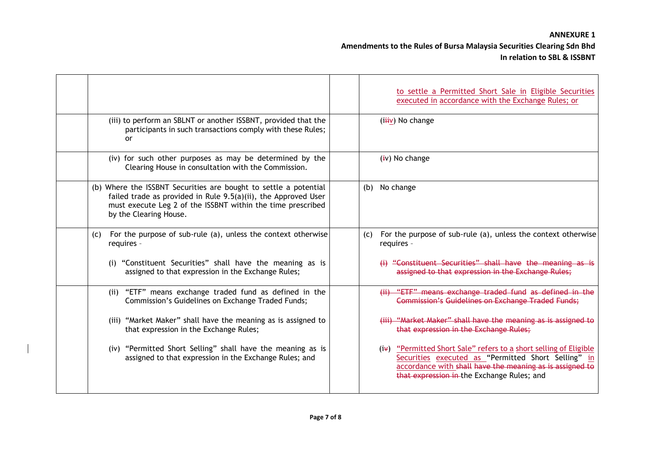|                                                                                                                                                                                                                             | to settle a Permitted Short Sale in Eligible Securities<br>executed in accordance with the Exchange Rules; or                                                                                                                      |
|-----------------------------------------------------------------------------------------------------------------------------------------------------------------------------------------------------------------------------|------------------------------------------------------------------------------------------------------------------------------------------------------------------------------------------------------------------------------------|
| (iii) to perform an SBLNT or another ISSBNT, provided that the<br>participants in such transactions comply with these Rules;<br><b>or</b>                                                                                   | $(iiiiv)$ No change                                                                                                                                                                                                                |
| (iv) for such other purposes as may be determined by the<br>Clearing House in consultation with the Commission.                                                                                                             | $(iv)$ No change                                                                                                                                                                                                                   |
| (b) Where the ISSBNT Securities are bought to settle a potential<br>failed trade as provided in Rule 9.5(a)(ii), the Approved User<br>must execute Leg 2 of the ISSBNT within the time prescribed<br>by the Clearing House. | No change<br>(b)                                                                                                                                                                                                                   |
| For the purpose of sub-rule (a), unless the context otherwise<br>(C)<br>requires -                                                                                                                                          | For the purpose of sub-rule (a), unless the context otherwise<br>(C)<br>requires -                                                                                                                                                 |
| (i) "Constituent Securities" shall have the meaning as is<br>assigned to that expression in the Exchange Rules;                                                                                                             | (i) "Constituent Securities" shall have the meaning as is<br>assigned to that expression in the Exchange Rules;                                                                                                                    |
| (ii) "ETF" means exchange traded fund as defined in the<br>Commission's Guidelines on Exchange Traded Funds;                                                                                                                | (ii) "ETF" means exchange traded fund as defined in the<br><b>Commission's Guidelines on Exchange Traded Funds;</b>                                                                                                                |
| (iii) "Market Maker" shall have the meaning as is assigned to<br>that expression in the Exchange Rules;                                                                                                                     | (iii) "Market Maker" shall have the meaning as is assigned to<br>that expression in the Exchange Rules:                                                                                                                            |
| (iv) "Permitted Short Selling" shall have the meaning as is<br>assigned to that expression in the Exchange Rules; and                                                                                                       | (iv) "Permitted Short Sale" refers to a short selling of Eligible<br>Securities executed as "Permitted Short Selling" in<br>accordance with shall have the meaning as is assigned to<br>that expression in the Exchange Rules; and |

 $\mathbf I$